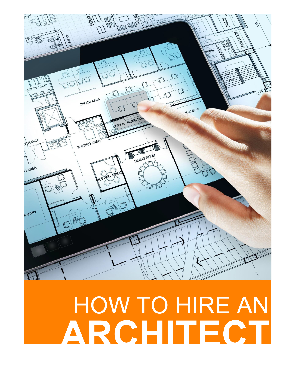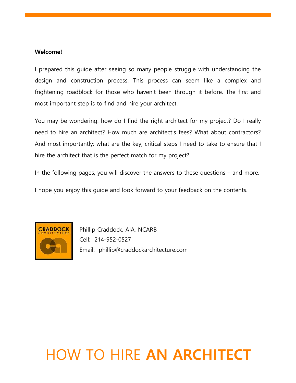#### Welcome!

I prepared this guide after seeing so many people struggle with understanding the design and construction process. This process can seem like a complex and frightening roadblock for those who haven't been through it before. The first and most important step is to find and hire your architect.

You may be wondering: how do I find the right architect for my project? Do I really need to hire an architect? How much are architect's fees? What about contractors? And most importantly: what are the key, critical steps I need to take to ensure that I hire the architect that is the perfect match for my project?

In the following pages, you will discover the answers to these questions – and more.

I hope you enjoy this guide and look forward to your feedback on the contents.



Phillip Craddock, AIA, NCARB Cell: 214-952-0527 Email: phillip@craddockarchitecture.com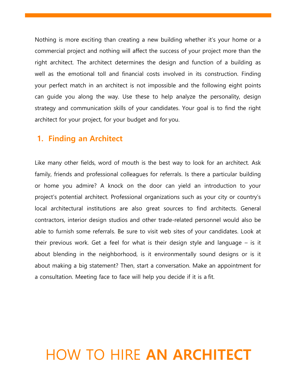Nothing is more exciting than creating a new building whether it's your home or a commercial project and nothing will affect the success of your project more than the right architect. The architect determines the design and function of a building as well as the emotional toll and financial costs involved in its construction. Finding your perfect match in an architect is not impossible and the following eight points can guide you along the way. Use these to help analyze the personality, design strategy and communication skills of your candidates. Your goal is to find the right architect for your project, for your budget and for you.

#### 1. Finding an Architect

Like many other fields, word of mouth is the best way to look for an architect. Ask family, friends and professional colleagues for referrals. Is there a particular building or home you admire? A knock on the door can yield an introduction to your project's potential architect. Professional organizations such as your city or country's local architectural institutions are also great sources to find architects. General contractors, interior design studios and other trade-related personnel would also be able to furnish some referrals. Be sure to visit web sites of your candidates. Look at their previous work. Get a feel for what is their design style and language – is it about blending in the neighborhood, is it environmentally sound designs or is it about making a big statement? Then, start a conversation. Make an appointment for a consultation. Meeting face to face will help you decide if it is a fit.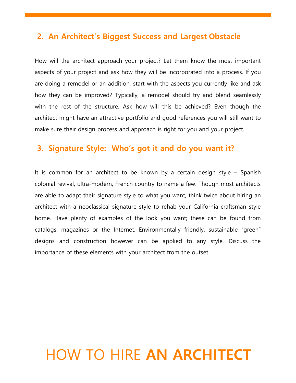#### 2. An Architect's Biggest Success and Largest Obstacle

How will the architect approach your project? Let them know the most important aspects of your project and ask how they will be incorporated into a process. If you are doing a remodel or an addition, start with the aspects you currently like and ask how they can be improved? Typically, a remodel should try and blend seamlessly with the rest of the structure. Ask how will this be achieved? Even though the architect might have an attractive portfolio and good references you will still want to make sure their design process and approach is right for you and your project.

### 3. Signature Style: Who's got it and do you want it?

It is common for an architect to be known by a certain design style – Spanish colonial revival, ultra-modern, French country to name a few. Though most architects are able to adapt their signature style to what you want, think twice about hiring an architect with a neoclassical signature style to rehab your California craftsman style home. Have plenty of examples of the look you want; these can be found from catalogs, magazines or the Internet. Environmentally friendly, sustainable "green" designs and construction however can be applied to any style. Discuss the importance of these elements with your architect from the outset.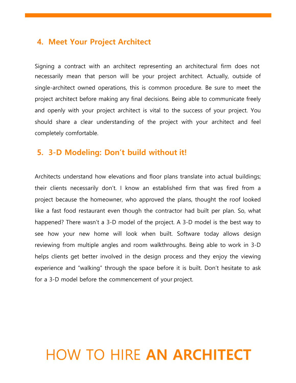#### 4. Meet Your Project Architect

Signing a contract with an architect representing an architectural firm does not necessarily mean that person will be your project architect. Actually, outside of single-architect owned operations, this is common procedure. Be sure to meet the project architect before making any final decisions. Being able to communicate freely and openly with your project architect is vital to the success of your project. You should share a clear understanding of the project with your architect and feel completely comfortable.

### 5. 3-D Modeling: Don't build without it!

Architects understand how elevations and floor plans translate into actual buildings; their clients necessarily don't. I know an established firm that was fired from a project because the homeowner, who approved the plans, thought the roof looked like a fast food restaurant even though the contractor had built per plan. So, what happened? There wasn't a 3-D model of the project. A 3-D model is the best way to see how your new home will look when built. Software today allows design reviewing from multiple angles and room walkthroughs. Being able to work in 3-D helps clients get better involved in the design process and they enjoy the viewing experience and "walking" through the space before it is built. Don't hesitate to ask for a 3-D model before the commencement of your project.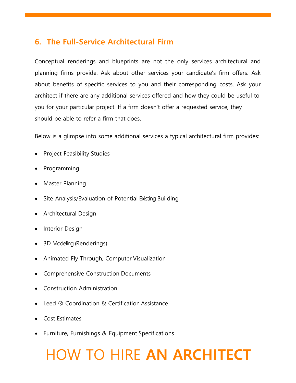## 6. The Full-Service Architectural Firm

Conceptual renderings and blueprints are not the only services architectural and planning firms provide. Ask about other services your candidate's firm offers. Ask about benefits of specific services to you and their corresponding costs. Ask your architect if there are any additional services offered and how they could be useful to you for your particular project. If a firm doesn't offer a requested service, they should be able to refer a firm that does.

Below is a glimpse into some additional services a typical architectural firm provides:

- Project Feasibility Studies
- Programming
- Master Planning
- Site Analysis/Evaluation of Potential Existing Building
- Architectural Design
- Interior Design
- 3D Modeling (Renderings)
- Animated Fly Through, Computer Visualization
- Comprehensive Construction Documents
- Construction Administration
- Leed ® Coordination & Certification Assistance
- Cost Estimates
- Furniture, Furnishings & Equipment Specifications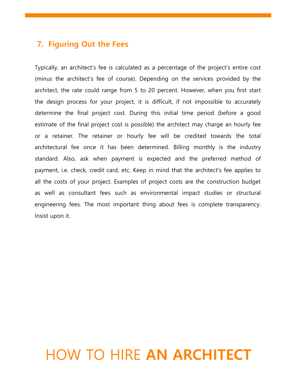#### 7. Figuring Out the Fees

Typically, an architect's fee is calculated as a percentage of the project's entire cost (minus the architect's fee of course). Depending on the services provided by the architect, the rate could range from 5 to 20 percent. However, when you first start the design process for your project, it is difficult, if not impossible to accurately determine the final project cost. During this initial time period (before a good estimate of the final project cost is possible) the architect may charge an hourly fee or a retainer. The retainer or hourly fee will be credited towards the total architectural fee once it has been determined. Billing monthly is the industry standard. Also, ask when payment is expected and the preferred method of payment, i.e. check, credit card, etc. Keep in mind that the architect's fee applies to all the costs of your project. Examples of project costs are the construction budget as well as consultant fees such as environmental impact studies or structural engineering fees. The most important thing about fees is complete transparency. Insist upon it.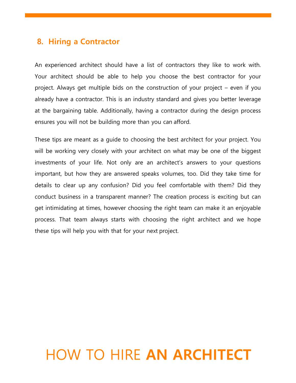#### 8. Hiring a Contractor

An experienced architect should have a list of contractors they like to work with. Your architect should be able to help you choose the best contractor for your project. Always get multiple bids on the construction of your project – even if you already have a contractor. This is an industry standard and gives you better leverage at the bargaining table. Additionally, having a contractor during the design process ensures you will not be building more than you can afford.

These tips are meant as a guide to choosing the best architect for your project. You will be working very closely with your architect on what may be one of the biggest investments of your life. Not only are an architect's answers to your questions important, but how they are answered speaks volumes, too. Did they take time for details to clear up any confusion? Did you feel comfortable with them? Did they conduct business in a transparent manner? The creation process is exciting but can get intimidating at times, however choosing the right team can make it an enjoyable process. That team always starts with choosing the right architect and we hope these tips will help you with that for your next project.